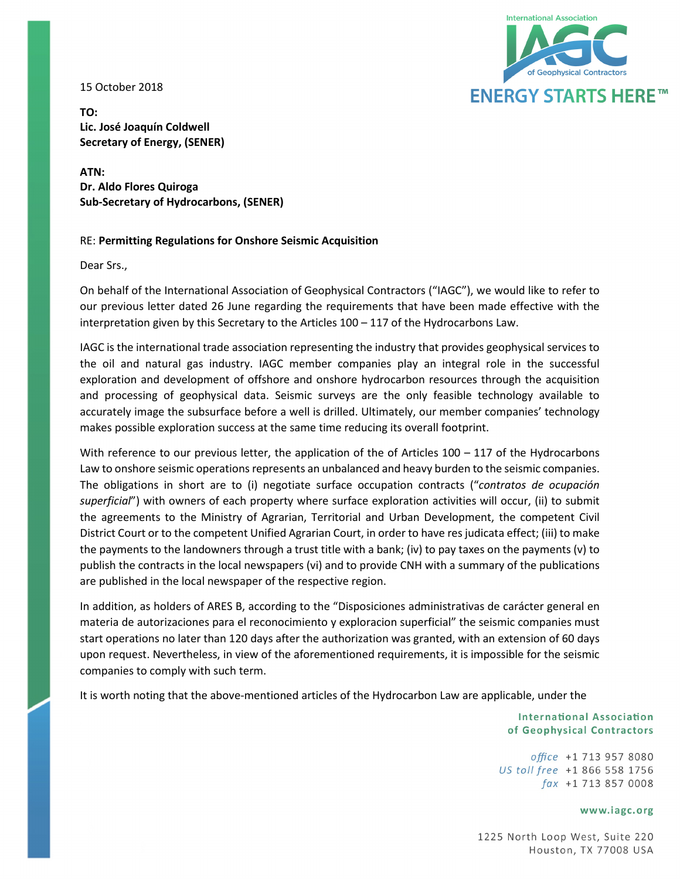15 October 2018



**TO: Lic. José Joaquín Coldwell Secretary of Energy, (SENER)**

**ATN: Dr. Aldo Flores Quiroga Sub-Secretary of Hydrocarbons, (SENER)**

## RE: **Permitting Regulations for Onshore Seismic Acquisition**

Dear Srs.,

On behalf of the International Association of Geophysical Contractors ("IAGC"), we would like to refer to our previous letter dated 26 June regarding the requirements that have been made effective with the interpretation given by this Secretary to the Articles 100 – 117 of the Hydrocarbons Law.

IAGC is the international trade association representing the industry that provides geophysical services to the oil and natural gas industry. IAGC member companies play an integral role in the successful exploration and development of offshore and onshore hydrocarbon resources through the acquisition and processing of geophysical data. Seismic surveys are the only feasible technology available to accurately image the subsurface before a well is drilled. Ultimately, our member companies' technology makes possible exploration success at the same time reducing its overall footprint.

With reference to our previous letter, the application of the of Articles  $100 - 117$  of the Hydrocarbons Law to onshore seismic operations represents an unbalanced and heavy burden to the seismic companies. The obligations in short are to (i) negotiate surface occupation contracts ("*contratos de ocupación superficial*") with owners of each property where surface exploration activities will occur, (ii) to submit the agreements to the Ministry of Agrarian, Territorial and Urban Development, the competent Civil District Court or to the competent Unified Agrarian Court, in order to have res judicata effect; (iii) to make the payments to the landowners through a trust title with a bank; (iv) to pay taxes on the payments (v) to publish the contracts in the local newspapers (vi) and to provide CNH with a summary of the publications are published in the local newspaper of the respective region.

In addition, as holders of ARES B, according to the "Disposiciones administrativas de carácter general en materia de autorizaciones para el reconocimiento y exploracion superficial" the seismic companies must start operations no later than 120 days after the authorization was granted, with an extension of 60 days upon request. Nevertheless, in view of the aforementioned requirements, it is impossible for the seismic companies to comply with such term.

It is worth noting that the above-mentioned articles of the Hydrocarbon Law are applicable, under the

**International Association** of Geophysical Contractors

office +1 713 957 8080 US toll free +1 866 558 1756  $\int ax +1$  713 857 0008

### www.iagc.org

1225 North Loop West, Suite 220 Houston, TX 77008 USA